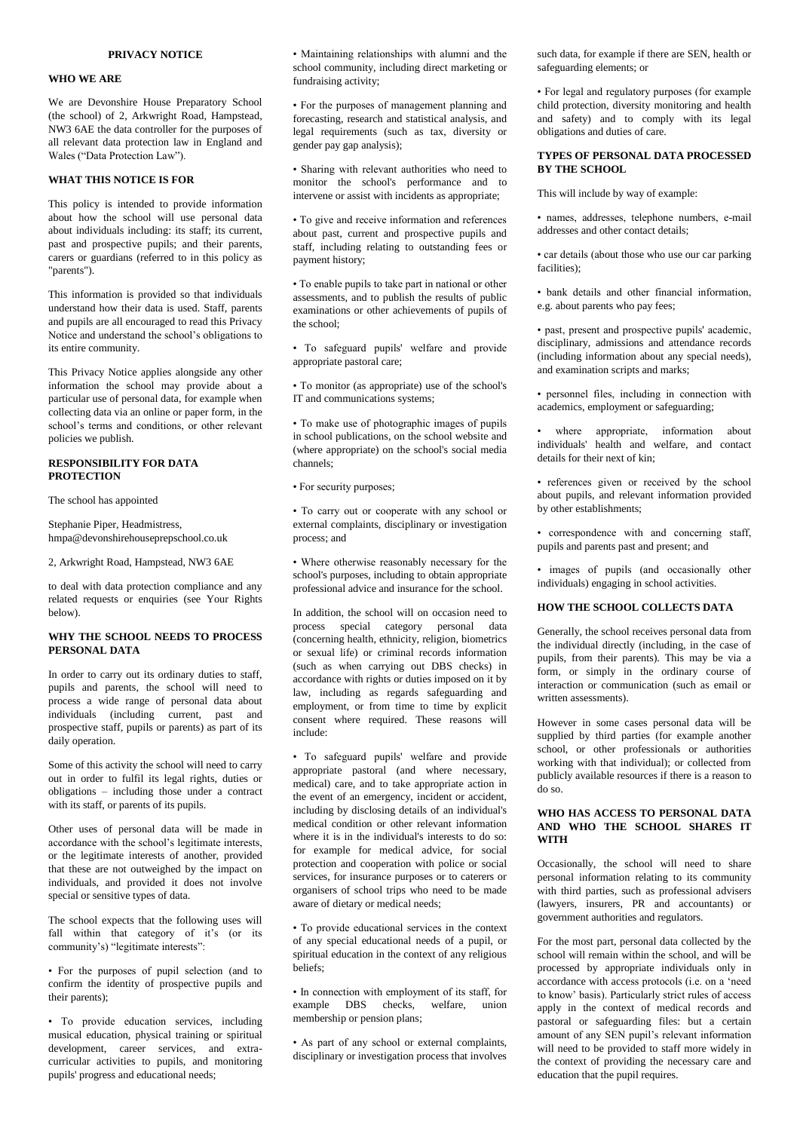## **WHO WE ARE**

We are Devonshire House Preparatory School (the school) of 2, Arkwright Road, Hampstead, NW3 6AE the data controller for the purposes of all relevant data protection law in England and Wales ("Data Protection Law").

#### **WHAT THIS NOTICE IS FOR**

This policy is intended to provide information about how the school will use personal data about individuals including: its staff; its current, past and prospective pupils; and their parents, carers or guardians (referred to in this policy as "parents").

This information is provided so that individuals understand how their data is used. Staff, parents and pupils are all encouraged to read this Privacy Notice and understand the school's obligations to its entire community.

This Privacy Notice applies alongside any other information the school may provide about a particular use of personal data, for example when collecting data via an online or paper form, in the school's terms and conditions, or other relevant policies we publish.

#### **RESPONSIBILITY FOR DATA PROTECTION**

The school has appointed

Stephanie Piper, Headmistress, hmpa@devonshirehouseprepschool.co.uk

2, Arkwright Road, Hampstead, NW3 6AE

to deal with data protection compliance and any related requests or enquiries (see Your Rights below).

## **WHY THE SCHOOL NEEDS TO PROCESS PERSONAL DATA**

In order to carry out its ordinary duties to staff, pupils and parents, the school will need to process a wide range of personal data about individuals (including current, past and prospective staff, pupils or parents) as part of its daily operation.

Some of this activity the school will need to carry out in order to fulfil its legal rights, duties or obligations – including those under a contract with its staff, or parents of its pupils.

Other uses of personal data will be made in accordance with the school's legitimate interests, or the legitimate interests of another, provided that these are not outweighed by the impact on individuals, and provided it does not involve special or sensitive types of data.

The school expects that the following uses will fall within that category of it's (or its community's) "legitimate interests":

• For the purposes of pupil selection (and to confirm the identity of prospective pupils and their parents);

• To provide education services, including musical education, physical training or spiritual development, career services, and extracurricular activities to pupils, and monitoring pupils' progress and educational needs;

• Maintaining relationships with alumni and the school community, including direct marketing or fundraising activity;

• For the purposes of management planning and forecasting, research and statistical analysis, and legal requirements (such as tax, diversity or gender pay gap analysis);

• Sharing with relevant authorities who need to monitor the school's performance and to intervene or assist with incidents as appropriate;

• To give and receive information and references about past, current and prospective pupils and staff, including relating to outstanding fees or payment history;

• To enable pupils to take part in national or other assessments, and to publish the results of public examinations or other achievements of pupils of the school;

• To safeguard pupils' welfare and provide appropriate pastoral care;

• To monitor (as appropriate) use of the school's IT and communications systems;

• To make use of photographic images of pupils in school publications, on the school website and (where appropriate) on the school's social media channels;

• For security purposes;

• To carry out or cooperate with any school or external complaints, disciplinary or investigation process; and

• Where otherwise reasonably necessary for the school's purposes, including to obtain appropriate professional advice and insurance for the school.

In addition, the school will on occasion need to process special category personal data (concerning health, ethnicity, religion, biometrics or sexual life) or criminal records information (such as when carrying out DBS checks) in accordance with rights or duties imposed on it by law, including as regards safeguarding and employment, or from time to time by explicit consent where required. These reasons will include:

• To safeguard pupils' welfare and provide appropriate pastoral (and where necessary, medical) care, and to take appropriate action in the event of an emergency, incident or accident, including by disclosing details of an individual's medical condition or other relevant information where it is in the individual's interests to do so: for example for medical advice, for social protection and cooperation with police or social services, for insurance purposes or to caterers or organisers of school trips who need to be made aware of dietary or medical needs;

• To provide educational services in the context of any special educational needs of a pupil, or spiritual education in the context of any religious beliefs;

• In connection with employment of its staff, for example DBS checks, welfare, union membership or pension plans;

• As part of any school or external complaints, disciplinary or investigation process that involves

such data, for example if there are SEN, health or safeguarding elements; or

• For legal and regulatory purposes (for example child protection, diversity monitoring and health and safety) and to comply with its legal obligations and duties of care.

# **TYPES OF PERSONAL DATA PROCESSED BY THE SCHOOL**

This will include by way of example:

• names, addresses, telephone numbers, e-mail addresses and other contact details;

• car details (about those who use our car parking facilities);

• bank details and other financial information, e.g. about parents who pay fees;

• past, present and prospective pupils' academic, disciplinary, admissions and attendance records (including information about any special needs), and examination scripts and marks;

• personnel files, including in connection with academics, employment or safeguarding;

where appropriate, information about individuals' health and welfare, and contact details for their next of kin;

• references given or received by the school about pupils, and relevant information provided by other establishments;

• correspondence with and concerning staff, pupils and parents past and present; and

• images of pupils (and occasionally other individuals) engaging in school activities.

# **HOW THE SCHOOL COLLECTS DATA**

Generally, the school receives personal data from the individual directly (including, in the case of pupils, from their parents). This may be via a form, or simply in the ordinary course of interaction or communication (such as email or written assessments).

However in some cases personal data will be supplied by third parties (for example another school, or other professionals or authorities working with that individual); or collected from publicly available resources if there is a reason to do so.

#### **WHO HAS ACCESS TO PERSONAL DATA AND WHO THE SCHOOL SHARES IT WITH**

Occasionally, the school will need to share personal information relating to its community with third parties, such as professional advisers (lawyers, insurers, PR and accountants) or government authorities and regulators.

For the most part, personal data collected by the school will remain within the school, and will be processed by appropriate individuals only in accordance with access protocols (i.e. on a 'need to know' basis). Particularly strict rules of access apply in the context of medical records and pastoral or safeguarding files: but a certain amount of any SEN pupil's relevant information will need to be provided to staff more widely in the context of providing the necessary care and education that the pupil requires.